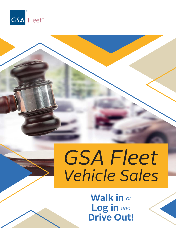

# *GSA Fleet Vehicle Sales*

### **Walk in** *or*  **Log in** *and* **Drive Out!**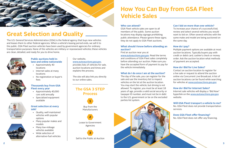

### **Great Selection and Quality**

The U.S. General Services Administration (GSA) is the federal agency that buys new vehicles and leases them to other federal agencies. When a vehicle's leasing period ends, we sell it to the public. GSA Fleet auction vehicles have been used by government agencies for ordinary transportation purposes. None of the vehicles are military or repossessed vehicles; these vehicles are clean, detailed, and ready for you to drive home.



#### **Public auctions held inlane and online nationwide**

- Approximately 40 locations
- Internet sales at many locations
- No registration or buyer's fees

#### **Thousands buy from GSA Fleet every year**

- Approximately 40,000 cars sold annually
- Specialized equipment available





#### **Great selection at every sale!**

- Quality, well maintained vehicles with popular options
- Many popular makes and models
- Many low-mileage vehicles available
- Wide selection of alternative-fuel vehicles

#### Our website,

*www.autoauctions.gsa.gov*,

provides lists of vehicles for sale, auction locations and times and explains the process.

The site will also link you directly to our online sales.

### **The GSA 3 STEP Process**



**2**

Lease to Government Agencies

**3** Sell to the Public at Auction

## **How You Can Buy from GSA Fleet Vehicle Sales**

#### **Who can attend?**

GSA Fleet vehicle sales are open to all members of the public. Some auction locations may display signage prohibiting public attendance. Please ignore these signs; they do not apply to GSA Fleet auctions.

#### **What should I know before attending an auction?**

Find an auction near you at

*www.autoauctions.gsa.gov*. Read the terms and conditions of GSA Fleet sales completely before attending our auction. Make sure you have the accepted form of payment to pay for the vehicle immediately.

#### **What do I do once I am at the auction?**

The day of the sale, you can register for the sale and use the inventory list to inspect vehicles on the lot at the auction location. You may start the vehicle, but driving is not allowed. To register, you must be at least 18 years of age, provide a valid social security or taxpayer ID number, and must not be in debt to the U.S. government or be on the excluded parties list system.



#### **Can I bid on more than one vehicle?**

To increase your chance of a successful bid, review and select several vehicles you would want to bid on. Often several vehicles with the same make and model are being auctioned on the same day.

#### **How do I pay?**

Multiple payment options are available at most auction locations. Typically buyers pay with credit or debit card, cashier's check or money order. Ask the auction location what methods of payment are accepted.

#### **How do I Bid for Live Sales?**

Contact an auction location to register for a live sale or request to attend the auction online via Concurrent Live Broadcast. A list of auction locations can be found while searching for vehicles at *www.autoauctions.gsa.gov*

#### **How do I Bid for Internet Sales?**

Internet sale vehicles will display a "Bid Now" hyperlink on the *www.autoauctions.gsa.gov* website.

#### **Will GSA Fleet transport a vehicle to me?**

No. GSA Fleet does not provide transportation services.

#### **Does GSA Fleet offer financing?**

No. GSA Fleet does not offer any financing.